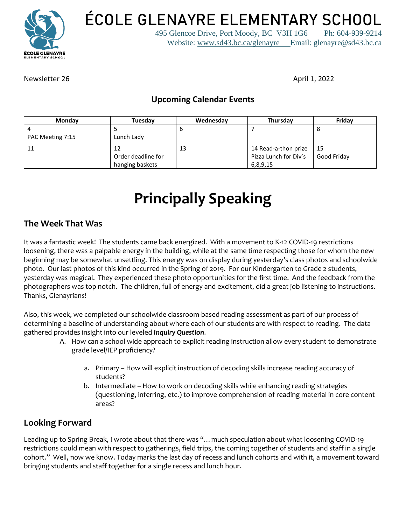

**ÉCOLE GLENAYRE ELEMENTARY SCHOOL**

495 Glencoe Drive, Port Moody, BC V3H 1G6 Ph: 604-939-9214 Website: [www.sd43.bc.ca/glenayre](http://www.sd43.bc.ca/glenayre) Email: glenayre@sd43.bc.ca

Newsletter 26 April 1, 2022

# **Upcoming Calendar Events**

| Monday           | <b>Tuesday</b>     | Wednesday | Thursday              | Friday      |
|------------------|--------------------|-----------|-----------------------|-------------|
|                  |                    | O         |                       | O           |
| PAC Meeting 7:15 | Lunch Lady         |           |                       |             |
| 11               |                    | 13        | 14 Read-a-thon prize  | $\vert$ 15  |
|                  | Order deadline for |           | Pizza Lunch for Div's | Good Friday |
|                  | hanging baskets    |           | 6,8,9,15              |             |

# **Principally Speaking**

### **The Week That Was**

It was a fantastic week! The students came back energized. With a movement to K-12 COVID-19 restrictions loosening, there was a palpable energy in the building, while at the same time respecting those for whom the new beginning may be somewhat unsettling. This energy was on display during yesterday's class photos and schoolwide photo. Our last photos of this kind occurred in the Spring of 2019. For our Kindergarten to Grade 2 students, yesterday was magical. They experienced these photo opportunities for the first time. And the feedback from the photographers was top notch. The children, full of energy and excitement, did a great job listening to instructions. Thanks, Glenayrians!

Also, this week, we completed our schoolwide classroom-based reading assessment as part of our process of determining a baseline of understanding about where each of our students are with respect to reading. The data gathered provides insight into our leveled *Inquiry Question*.

- A. How can a school wide approach to explicit reading instruction allow every student to demonstrate grade level/IEP proficiency?
	- a. Primary How will explicit instruction of decoding skills increase reading accuracy of students?
	- b. Intermediate How to work on decoding skills while enhancing reading strategies (questioning, inferring, etc.) to improve comprehension of reading material in core content areas?

# **Looking Forward**

Leading up to Spring Break, I wrote about that there was "…much speculation about what loosening COVID-19 restrictions could mean with respect to gatherings, field trips, the coming together of students and staff in a single cohort." Well, now we know. Today marks the last day of recess and lunch cohorts and with it, a movement toward bringing students and staff together for a single recess and lunch hour.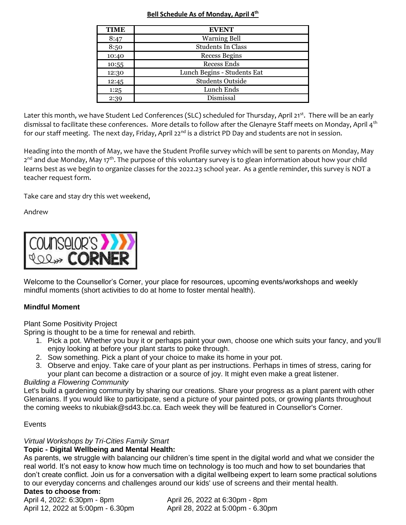#### **Bell Schedule As of Monday, April 4 th**

| <b>TIME</b> | <b>EVENT</b>                |  |  |
|-------------|-----------------------------|--|--|
| 8:47        | <b>Warning Bell</b>         |  |  |
| 8:50        | <b>Students In Class</b>    |  |  |
| 10:40       | <b>Recess Begins</b>        |  |  |
| 10:55       | <b>Recess Ends</b>          |  |  |
| 12:30       | Lunch Begins - Students Eat |  |  |
| 12:45       | <b>Students Outside</b>     |  |  |
| 1:25        | Lunch Ends                  |  |  |
| 2:39        | Dismissal                   |  |  |

Later this month, we have Student Led Conferences (SLC) scheduled for Thursday, April 21<sup>st</sup>. There will be an early dismissal to facilitate these conferences. More details to follow after the Glenayre Staff meets on Monday, April 4<sup>th</sup> for our staff meeting. The next day, Friday, April 22<sup>nd</sup> is a district PD Day and students are not in session.

Heading into the month of May, we have the Student Profile survey which will be sent to parents on Monday, May 2<sup>nd</sup> and due Monday, May 17<sup>th</sup>. The purpose of this voluntary survey is to glean information about how your child learns best as we begin to organize classes for the 2022.23 school year. As a gentle reminder, this survey is NOT a teacher request form.

Take care and stay dry this wet weekend,

Andrew



Welcome to the Counsellor's Corner, your place for resources, upcoming events/workshops and weekly mindful moments (short activities to do at home to foster mental health).

#### **Mindful Moment**

Plant Some Positivity Project

Spring is thought to be a time for renewal and rebirth.

- 1. Pick a pot. Whether you buy it or perhaps paint your own, choose one which suits your fancy, and you'll enjoy looking at before your plant starts to poke through.
- 2. Sow something. Pick a plant of your choice to make its home in your pot.
- 3. Observe and enjoy. Take care of your plant as per instructions. Perhaps in times of stress, caring for your plant can become a distraction or a source of joy. It might even make a great listener.

#### *Building a Flowering Community*

Let's build a gardening community by sharing our creations. Share your progress as a plant parent with other Glenarians. If you would like to participate, send a picture of your painted pots, or growing plants throughout the coming weeks to nkubiak@sd43.bc.ca. Each week they will be featured in Counsellor's Corner.

#### Events

#### *Virtual Workshops by Tri-Cities Family Smart*

#### **Topic - Digital Wellbeing and Mental Health:**

As parents, we struggle with balancing our children's time spent in the digital world and what we consider the real world. It's not easy to know how much time on technology is too much and how to set boundaries that don't create conflict. Join us for a conversation with a digital wellbeing expert to learn some practical solutions to our everyday concerns and challenges around our kids' use of screens and their mental health.

#### **Dates to choose from:**

April 4, 2022: 6:30pm - 8pm April 26, 2022 at 6:30pm - 8pm April 12, 2022 at 5:00pm - 6.30pm April 28, 2022 at 5:00pm - 6.30pm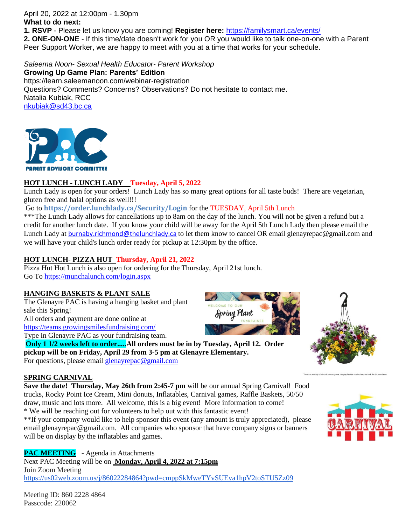April 20, 2022 at 12:00pm - 1.30pm **What to do next:**

**1. RSVP** - Please let us know you are coming! **Register here:** <https://familysmart.ca/events/>

**2. ONE-ON-ONE** - If this time/date doesn't work for you OR you would like to talk one-on-one with a Parent Peer Support Worker, we are happy to meet with you at a time that works for your schedule.

*Saleema Noon- Sexual Health Educator- Parent Workshop* **Growing Up Game Plan: Parents' Edition** https://learn.saleemanoon.com/webinar-registration Questions? Comments? Concerns? Observations? Do not hesitate to contact me. Natalia Kubiak, RCC [nkubiak@sd43.bc.ca](mailto:nkubiak@sd43.bc.ca)



#### **HOT LUNCH - LUNCH LADY Tuesday, April 5, 2022**

Lunch Lady is open for your orders! Lunch Lady has so many great options for all taste buds! There are vegetarian, gluten free and halal options as well!!!

Go to **<https://order.lunchlady.ca/Security/Login>** for the TUESDAY, April 5th Lunch

\*\*\*The Lunch Lady allows for cancellations up to 8am on the day of the lunch. You will not be given a refund but a credit for another lunch date. If you know your child will be away for the April 5th Lunch Lady then please email the Lunch Lady at [burnaby.richmond@thelunchlady.ca](mailto:burnaby.richmond@thelunchlady.ca) to let them know to cancel OR email glenayrepac@gmail.com and we will have your child's lunch order ready for pickup at 12:30pm by the office.

#### **HOT LUNCH- PIZZA HUT Thursday, April 21, 2022**

Pizza Hut Hot Lunch is also open for ordering for the Thursday, April 21st lunch. Go To<https://munchalunch.com/login.aspx>

#### **HANGING BASKETS & PLANT SALE**

The Glenayre PAC is having a hanging basket and plant sale this Spring! All orders and payment are done online at <https://teams.growingsmilesfundraising.com/>

Type in Glenayre PAC as your fundraising team.

**Only 1 1/2 weeks left to order.....All orders must be in by Tuesday, April 12. Order pickup will be on Friday, April 29 from 3-5 pm at Glenayre Elementary.**  For questions, please email [glenayrepac@gmail.com](mailto:glenayrepac@gmail.com)

#### **SPRING CARNIVAL**

**Save the date! Thursday, May 26th from 2:45-7 pm will be our annual Spring Carnival! Food** trucks, Rocky Point Ice Cream, Mini donuts, Inflatables, Carnival games, Raffle Baskets, 50/50 draw, music and lots more. All welcome, this is a big event! More information to come! \* We will be reaching out for volunteers to help out with this fantastic event!

\*\*If your company would like to help sponsor this event (any amount is truly appreciated), please email glenayrepac@gmail.com. All companies who sponsor that have company signs or banners will be on display by the inflatables and games.

**PAC MEETING** - Agenda in Attachments Next PAC Meeting will be on **Monday, April 4, 2022 at 7:15pm** Join Zoom Meeting <https://us02web.zoom.us/j/86022284864?pwd=cmppSkMweTYvSUEva1hpV2toSTU5Zz09>

Meeting ID: 860 2228 4864 Passcode: 220062





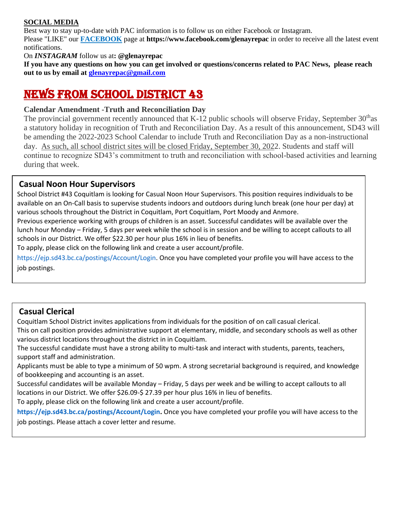#### **SOCIAL MEDIA**

Best way to stay up-to-date with PAC information is to follow us on either Facebook or Instagram.

Please "LIKE" our **FACEBOOK** page at **https://www.facebook.com/glenayrepac** in order to receive all the latest event notifications.

On *INSTAGRAM* follow us at**: @glenayrepac**

**If you have any questions on how you can get involved or questions/concerns related to PAC News, please reach out to us by email at [glenayrepac@gmail.com](mailto:glenayrepac@gmail.com)**

# NEWS FROM SCHOOL DISTRICT 43

#### **Calendar Amendment -Truth and Reconciliation Day**

The provincial government recently announced that K-12 public schools will observe Friday, September  $30<sup>th</sup>$ as a statutory holiday in recognition of Truth and Reconciliation Day. As a result of this announcement, SD43 will be amending the 2022-2023 School Calendar to include Truth and Reconciliation Day as a non-instructional day. As such, all school district sites will be closed Friday, September 30, 2022. Students and staff will continue to recognize SD43's commitment to truth and reconciliation with school-based activities and learning during that week.

#### **Casual Noon Hour Supervisors**

School District #43 Coquitlam is looking for Casual Noon Hour Supervisors. This position requires individuals to be available on an On-Call basis to supervise students indoors and outdoors during lunch break (one hour per day) at various schools throughout the District in Coquitlam, Port Coquitlam, Port Moody and Anmore.

Previous experience working with groups of children is an asset. Successful candidates will be available over the lunch hour Monday – Friday, 5 days per week while the school is in session and be willing to accept callouts to all schools in our District. We offer \$22.30 per hour plus 16% in lieu of benefits.

To apply, please click on the following link and create a user account/profile.

https://ejp.sd43.bc.ca/postings/Account/Login. Once you have completed your profile you will have access to the job postings.

### **Casual Clerical**

Coquitlam School District invites applications from individuals for the position of on call casual clerical.

This on call position provides administrative support at elementary, middle, and secondary schools as well as other various district locations throughout the district in in Coquitlam.

The successful candidate must have a strong ability to multi-task and interact with students, parents, teachers, support staff and administration.

Applicants must be able to type a minimum of 50 wpm. A strong secretarial background is required, and knowledge of bookkeeping and accounting is an asset.

Successful candidates will be available Monday – Friday, 5 days per week and be willing to accept callouts to all locations in our District. We offer \$26.09-\$ 27.39 per hour plus 16% in lieu of benefits.

To apply, please click on the following link and create a user account/profile.

**https://ejp.sd43.bc.ca/postings/Account/Login.** Once you have completed your profile you will have access to the job postings. Please attach a cover letter and resume.